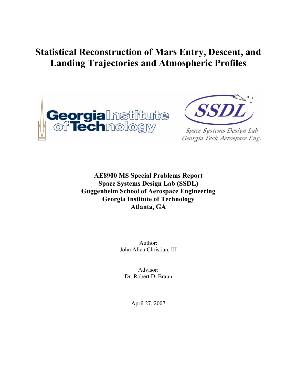# **Statistical Reconstruction of Mars Entry, Descent, and Landing Trajectories and Atmospheric Profiles**





Space Systems Design Lab Georgia Tech Aerospace Eng.

**AE8900 MS Special Problems Report Space Systems Design Lab (SSDL) Guggenheim School of Aerospace Engineering Georgia Institute of Technology Atlanta, GA** 

> Author: John Allen Christian, III

Advisor: Dr. Robert D. Braun

April 27, 2007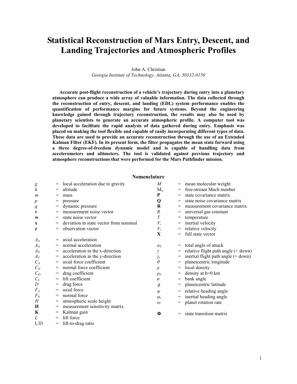# **Statistical Reconstruction of Mars Entry, Descent, and Landing Trajectories and Atmospheric Profiles**

John A. Christian

*Georgia Institute of Technology, Atlanta, GA, 30332-0150* 

**Accurate post-flight reconstruction of a vehicle's trajectory during entry into a planetary atmosphere can produce a wide array of valuable information. The data collected through the reconstruction of entry, descent, and landing (EDL) system performance enables the quantification of performance margins for future systems. Beyond the engineering knowledge gained through trajectory reconstruction, the results may also be used by planetary scientists to generate an accurate atmospheric profile. A computer tool was developed to facilitate the rapid analysis of data gathered during entry. Emphasis was placed on making the tool flexible and capable of easily incorporating different types of data. These data are used to provide an accurate reconstruction through the use of an Extended Kalman Filter (EKF). In its present form, the filter propagates the mean state forward using a three degree-of-freedom dynamic model and is capable of handling data from accelerometers and altimeters. The tool is validated against previous trajectory and atmosphere reconstructions that were performed for the Mars Pathfinder mission.** 

#### **Nomenclature**

| g       | $=$ | local acceleration due to gravity      | M            | $=$ | mean molecular weight                 |
|---------|-----|----------------------------------------|--------------|-----|---------------------------------------|
| h       | $=$ | altitude                               | $M_{\infty}$ | $=$ | free-stream Mach number               |
| m       | $=$ | mass                                   | P            | $=$ | state covariance matrix               |
| р       | $=$ | pressure                               | Q            | $=$ | state noise covariance matrix         |
| q       | $=$ | dynamic pressure                       | R            | $=$ | measurement covariance matrix         |
| V       | $=$ | measurement noise vector               | R            | $=$ | universal gas constant                |
| W       | $=$ | state noise vector                     | T            | $=$ | temperature                           |
| x       | $=$ | deviation in state vector from nominal | $V_i$        | $=$ | inertial velocity                     |
| z       | $=$ | observation vector                     | $V_r$        | $=$ | relative velocity                     |
|         |     |                                        | X            | $=$ | full state vector                     |
| $A_{A}$ | $=$ | axial acceleration                     |              |     |                                       |
| $A_N$   | $=$ | normal acceleration                    | $\alpha_T$   | $=$ | total angle of attack                 |
| $A_X$   | $=$ | acceleration in the x-direction        | γ            | $=$ | relative flight path angle $(+$ down) |
| $A_Y$   | $=$ | acceleration in the y-direction        | $\gamma_i$   | $=$ | inertial flight path angle (+ down)   |
| $C_A$   | $=$ | axial force coefficient                | $\theta$     | $=$ | planetcentric longitude               |
| $C_N$   | $=$ | normal force coefficient               | $\rho$       | $=$ | local density                         |
| $C_D$   | $=$ | drag coefficient                       | $\rho_0$     | $=$ | density at h=0 km                     |
| $C_L$   | $=$ | lift coefficient                       | $\sigma$     | $=$ | bank angle                            |
| D       | $=$ | drag force                             | φ            | $=$ | planetcentric latitude                |
| $F_A$   | $=$ | axial force                            | $\psi$       | $=$ | relative heading angle                |
| $F_N$   | $=$ | normal force                           | $\psi_i$     | $=$ | inertial heading angle                |
| Н       | $=$ | atmospheric scale height               | $\omega$     | $=$ | planet rotation rate                  |
| Н       | $=$ | measurement sensitivity matrix         |              |     |                                       |
| K       | $=$ | Kalman gain                            | Ф            | $=$ | state transition matrix               |
| L       | $=$ | lift force                             |              |     |                                       |
| L/D     | $=$ | lift-to-drag ratio                     |              |     |                                       |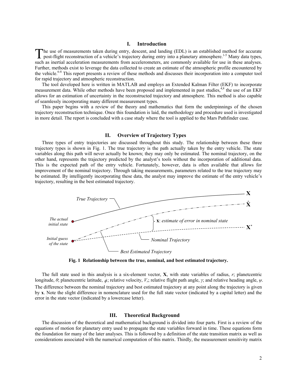# **I. Introduction**

The use of measurements taken during entry, descent, and landing (EDL) is an established method for accurate post-flight reconstruction of a vehicle's trajectory during entry into a planetary atmosphere.<sup>1-5</sup> Many data typ post-flight reconstruction of a vehicle's trajectory during entry into a planetary atmosphere.<sup>1-5</sup> Many data types, such as inertial acceleration measurements from accelerometers, are commonly available for use in these analyses. Further, methods exist to leverage the data collected to create an estimate of the atmospheric profile encountered by the vehicle.6-8 This report presents a review of these methods and discusses their incorporation into a computer tool for rapid trajectory and atmospheric reconstruction.

 The tool developed here is written in MATLAB and employs an Extended Kalman Filter (EKF) to incorporate measurement data. While other methods have been proposed and implemented in past studies,<sup>4,8</sup> the use of an EKF allows for an estimation of uncertainty in the reconstructed trajectory and atmosphere. This method is also capable of seamlessly incorporating many different measurement types.

 This paper begins with a review of the theory and mathematics that form the underpinnings of the chosen trajectory reconstruction technique. Once this foundation is laid, the methodology and procedure used is investigated in more detail. The report is concluded with a case study where the tool is applied to the Mars Pathfinder case.

### **II. Overview of Trajectory Types**

 Three types of entry trajectories are discussed throughout this study. The relationship between these three trajectory types is shown in Fig. 1. The true trajectory is the path actually taken by the entry vehicle. The state variables along this path will never actually be known; they may only be estimated. The nominal trajectory, on the other hand, represents the trajectory predicted by the analyst's tools without the incorporation of additional data. This is the expected path of the entry vehicle. Fortunately, however, data is often available that allows for improvement of the nominal trajectory. Through taking measurements, parameters related to the true trajectory may be estimated. By intelligently incorporating these data, the analyst may improve the estimate of the entry vehicle's trajectory, resulting in the best estimated trajectory.



**Fig. 1 Relationship between the true, nominal, and best estimated trajectory.** 

 The full state used in this analysis is a six-element vector, **X**, with state variables of radius, *r*; planetcentric longitude, *θ*; planetcentric latitude, φ; relative velocity, *Vr*; relative flight path angle, *γ*; and relative heading angle, *ψ*. The difference between the nominal trajectory and best estimated trajectory at any point along the trajectory is given by **x**. Note the slight difference in nomenclature used for the full state vector (indicated by a capital letter) and the error in the state vector (indicated by a lowercase letter).

# **III. Theoretical Background**

The discussion of the theoretical and mathematical background is divided into four parts. First is a review of the equations of motion for planetary entry used to propagate the state variables forward in time. These equations form the foundation for many of the later analyses. This is followed by a definition of the state transition matrix as well as considerations associated with the numerical computation of this matrix. Thirdly, the measurement sensitivity matrix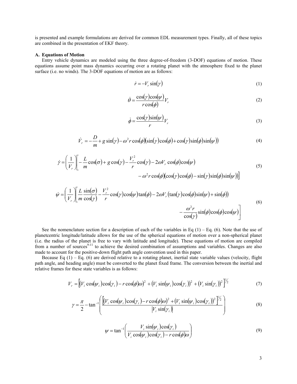is presented and example formulations are derived for common EDL measurement types. Finally, all of these topics are combined in the presentation of EKF theory.

# **A. Equations of Motion**

Entry vehicle dynamics are modeled using the three degree-of-freedom (3-DOF) equations of motion. These equations assume point mass dynamics occurring over a rotating planet with the atmosphere fixed to the planet surface (i.e. no winds). The 3-DOF equations of motion are as follows:

$$
\dot{r} = -V_r \sin(\gamma) \tag{1}
$$

$$
\dot{\theta} = \frac{\cos(\gamma)\cos(\psi)}{r\cos(\phi)}V_r
$$
 (2)

$$
\dot{\phi} = \frac{\cos(\gamma)\sin(\psi)}{r} V_r \tag{3}
$$

$$
\dot{V}_r = -\frac{D}{m} + g\sin(\gamma) - \omega^2 r\cos(\phi)(\sin(\gamma)\cos(\phi) + \cos(\gamma)\sin(\phi)\sin(\psi))
$$
\n(4)

$$
\dot{\gamma} = \left(\frac{1}{V_r}\right) \left[ -\frac{L}{m} \cos(\sigma) + g \cos(\gamma) - \frac{V_r^2}{r} \cos(\gamma) - 2\omega V_r \cos(\phi) \cos(\psi) - \omega^2 r \cos(\phi) (\cos(\gamma) \cos(\phi) - \sin(\gamma) \sin(\phi) \sin(\psi)) \right]
$$
(5)

$$
\dot{\psi} = \left(\frac{1}{V_r}\right) \left[ \frac{L}{m} \frac{\sin(\sigma)}{\cos(\gamma)} - \frac{V_r^2}{r} \cos(\gamma)\cos(\psi)\tan(\phi) - 2\omega V_r(\tan(\gamma)\cos(\phi)\sin(\psi) + \sin(\phi)) - \frac{\omega^2 r}{\cos(\gamma)} \sin(\phi)\cos(\phi)\cos(\psi) \right]
$$
(6)

See the nomenclature section for a description of each of the variables in Eq  $(1)$  – Eq. (6). Note that the use of planetcentric longitude/latitude allows for the use of the spherical equations of motion over a non-spherical planet (i.e. the radius of the planet is free to vary with latitude and longitude). These equations of motion are compiled from a number of sources<sup>9-11</sup> to achieve the desired combination of assumptions and variables. Changes are also made to account for the positive-down flight path angle convention used in this paper.

Because Eq  $(1)$  – Eq. (6) are derived relative to a rotating planet, inertial state variable values (velocity, flight path angle, and heading angle) must be converted to the planet fixed frame. The conversion between the inertial and relative frames for these state variables is as follows:

$$
V_r = \left[ (V_i \cos(\psi_i) \cos(\gamma_i) - r \cos(\phi) \omega)^2 + (V_i \sin(\psi_i) \cos(\gamma_i))^2 + (V_i \sin(\gamma_i))^2 \right]^{1/2}
$$
(7)

$$
\gamma = \frac{\pi}{2} - \tan^{-1} \left( \frac{\left[ (V_i \cos(\psi_i) \cos(\gamma_i) - r \cos(\phi)\omega)^2 + (V_i \sin(\psi_i) \cos(\gamma_i))^2 \right]^{1/2}}{|V_i \sin(\gamma_i)|} \right) \tag{8}
$$

$$
\psi = \tan^{-1}\left(\frac{V_i \sin(\psi_i)\cos(\gamma_i)}{V_i \cos(\psi_i)\cos(\gamma_i) - r \cos(\phi)\omega}\right)
$$
(9)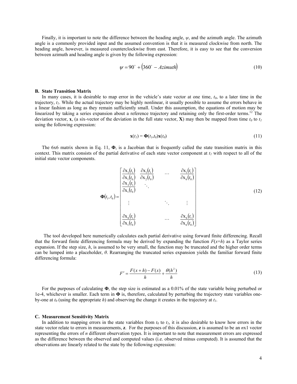Finally, it is important to note the difference between the heading angle, *ψ*, and the azimuth angle. The azimuth angle is a commonly provided input and the assumed convention is that it is measured clockwise from north. The heading angle, however, is measured counterclockwise from east. Therefore, it is easy to see that the conversion between azimuth and heading angle is given by the following expression:

$$
\psi = 90^{\circ} + (360^{\circ} - Azimuth) \tag{10}
$$

#### **B. State Transition Matrix**

In many cases, it is desirable to map error in the vehicle's state vector at one time,  $t_0$ , to a later time in the trajectory,  $t_1$ . While the actual trajectory may be highly nonlinear, it usually possible to assume the errors behave in a linear fashion as long as they remain sufficiently small. Under this assumption, the equations of motion may be linearized by taking a series expansion about a reference trajectory and retaining only the first-order terms.<sup>12</sup> The deviation vector, **x**, (a six-vector of the deviation in the full state vector, **X**) may then be mapped from time  $t_0$  to  $t_1$ using the following expression:

$$
\mathbf{x}(t_1) = \mathbf{\Phi}(t_1, t_0) \mathbf{x}(t_0) \tag{11}
$$

The 6x6 matrix shown in Eq. 11, **Φ**, is a Jacobian that is frequently called the state transition matrix in this context. This matrix consists of the partial derivative of each state vector component at  $t_1$  with respect to all of the initial state vector components.

$$
\mathbf{\Phi}(t_1, t_0) = \begin{bmatrix} \frac{\partial \mathbf{x}_1(t_1)}{\partial \mathbf{x}_1(t_0)} & \frac{\partial \mathbf{x}_1(t_1)}{\partial \mathbf{x}_2(t_0)} & \cdots & \frac{\partial \mathbf{x}_1(t_1)}{\partial \mathbf{x}_6(t_0)} \\ \frac{\partial \mathbf{x}_2(t_1)}{\partial \mathbf{x}_1(t_0)} & \ddots & \vdots \\ \vdots & \ddots & \vdots \\ \frac{\partial \mathbf{x}_6(t_1)}{\partial \mathbf{x}_1(t_0)} & \cdots & \frac{\partial \mathbf{x}_6(t_1)}{\partial \mathbf{x}_6(t_0)} \end{bmatrix}
$$
(12)

The tool developed here numerically calculates each partial derivative using forward finite differencing. Recall that the forward finite differencing formula may be derived by expanding the function  $F(x+h)$  as a Taylor series expansion. If the step size, *h*, is assumed to be very small, the function may be truncated and the higher order terms can be lumped into a placeholder, *θ*. Rearranging the truncated series expansion yields the familiar forward finite differencing formula:

$$
F' = \frac{F(x+h) - F(x)}{h} + \frac{\theta(h^2)}{h}
$$
 (13)

For the purposes of calculating **Φ**, the step size is estimated as a 0.01% of the state variable being perturbed or 1e-4, whichever is smaller. Each term in **Φ** is, therefore, calculated by perturbing the trajectory state variables oneby-one at  $t_0$  (using the appropriate *h*) and observing the change it creates in the trajectory at  $t_1$ .

#### **C. Measurement Sensitivity Matrix**

In addition to mapping errors in the state variables from  $t_0$  to  $t_1$ , it is also desirable to know how errors in the state vector relate to errors in measurements, **z**. For the purposes of this discussion, **z** is assumed to be an *n*x1 vector representing the errors of *n* different observation types. It is important to note that measurement errors are expressed as the difference between the observed and computed values (i.e. observed minus computed). It is assumed that the observations are linearly related to the state by the following expression: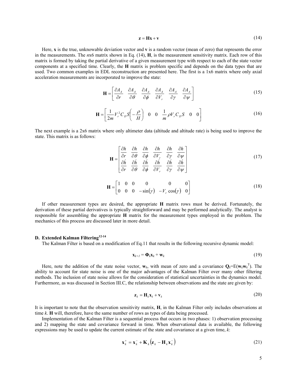$$
z = Hx + v \tag{14}
$$

Here, **x** is the true, unknowable deviation vector and **v** is a random vector (mean of zero) that represents the error in the measurements. The *n*x6 matrix shown in Eq. (14), **H**, is the measurement sensitivity matrix. Each row of this matrix is formed by taking the partial derivative of a given measurement type with respect to each of the state vector components at a specified time. Clearly, the **H** matrix is problem specific and depends on the data types that are used. Two common examples in EDL reconstruction are presented here. The first is a 1x6 matrix where only axial acceleration measurements are incorporated to improve the state:

$$
\mathbf{H} = \begin{bmatrix} \frac{\partial A_A}{\partial r} & \frac{\partial A_A}{\partial \theta} & \frac{\partial A_A}{\partial \phi} & \frac{\partial A_A}{\partial V_r} & \frac{\partial A_A}{\partial \gamma} & \frac{\partial A_A}{\partial \psi} \end{bmatrix}
$$
(15)

$$
\mathbf{H} = \left[ \frac{1}{2m} V_r^2 C_D S \left( -\frac{\rho}{H} \right) \quad 0 \quad 0 \quad \frac{1}{m} \rho V_r C_D S \quad 0 \quad 0 \right] \tag{16}
$$

The next example is a 2x6 matrix where only altimeter data (altitude and altitude rate) is being used to improve the state. This matrix is as follows:

$$
\mathbf{H} = \begin{bmatrix} \frac{\partial h}{\partial r} & \frac{\partial h}{\partial \theta} & \frac{\partial h}{\partial \phi} & \frac{\partial h}{\partial V_r} & \frac{\partial h}{\partial \gamma} \\ \frac{\partial \dot{h}}{\partial r} & \frac{\partial \dot{h}}{\partial \theta} & \frac{\partial \dot{h}}{\partial \phi} & \frac{\partial \dot{h}}{\partial V_r} & \frac{\partial \dot{h}}{\partial \gamma} & \frac{\partial \dot{h}}{\partial \psi} \end{bmatrix}
$$
(17)  

$$
\mathbf{H} = \begin{bmatrix} 1 & 0 & 0 & 0 & 0 & 0 \\ 0 & 0 & 0 & -\sin(\gamma) & -V_r \cos(\gamma) & 0 \end{bmatrix}
$$
(18)

If other measurement types are desired, the appropriate **H** matrix rows must be derived. Fortunately, the derivation of these partial derivatives is typically straightforward and may be performed analytically. The analyst is responsible for assembling the appropriate **H** matrix for the measurement types employed in the problem. The mechanics of this process are discussed later in more detail.

#### **D. Extended Kalman Filtering12-14**

The Kalman Filter is based on a modification of Eq.11 that results in the following recursive dynamic model:

$$
\mathbf{x}_{k+1} = \mathbf{\Phi}_k \mathbf{x}_k + \mathbf{w}_k \tag{19}
$$

Here, note the addition of the state noise vector,  $w_k$ , with mean of zero and a covariance  $Q_k = E(w_k w_k^T)$ . The ability to account for state noise is one of the major advantages of the Kalman Filter over many other filtering methods. The inclusion of state noise allows for the consideration of statistical uncertainties in the dynamics model. Furthermore, as was discussed in Section III.C, the relationship between observations and the state are given by:

$$
\mathbf{z}_k = \mathbf{H}_k \mathbf{x}_k + \mathbf{v}_k \tag{20}
$$

It is important to note that the observation sensitivity matrix, **H**, in the Kalman Filter only includes observations at time *k*. **H** will, therefore, have the same number of rows as types of data being processed.

Implementation of the Kalman Filter is a sequential process that occurs in two phases: 1) observation processing and 2) mapping the state and covariance forward in time. When observational data is available, the following expressions may be used to update the current estimate of the state and covariance at a given time, *k*:

$$
\mathbf{x}_{k}^{+} = \mathbf{x}_{k}^{-} + \mathbf{K}_{k} \left( \mathbf{z}_{k} - \mathbf{H}_{k} \mathbf{x}_{k}^{-} \right)
$$
 (21)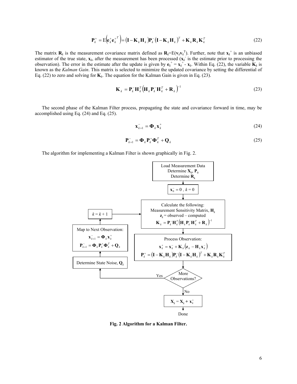$$
\mathbf{P}_{k}^{+} = \mathrm{E} \Big( \mathbf{e}_{k}^{+} \mathbf{e}_{k}^{+T} \Big) = \big( \mathbf{I} - \mathbf{K}_{k} \mathbf{H}_{k} \big) \mathbf{P}_{k}^{-} \big( \mathbf{I} - \mathbf{K}_{k} \mathbf{H}_{k} \big)^{T} + \mathbf{K}_{k} \mathbf{R}_{k} \mathbf{K}_{k}^{T} \tag{22}
$$

The matrix  $\mathbf{R}_k$  is the measurement covariance matrix defined as  $\mathbf{R}_k = E(\mathbf{v}_k \mathbf{v}_k^T)$ . Further, note that  $\mathbf{x}_k^+$  is an unbiased estimator of the true state,  $\mathbf{x}_k$ , after the measurement has been processed  $(\mathbf{x}_k)$  is the estimate prior to processing the observation). The error in the estimate after the update is given by  $\mathbf{e}_k^+ = \mathbf{x}_k^+ - \mathbf{x}_k$ . Within Eq. (22), the variable  $\mathbf{K}_k$  is known as the *Kalman Gain*. This matrix is selected to minimize the updated covariance by setting the differential of Eq. (22) to zero and solving for **K***k*. The equation for the Kalman Gain is given in Eq. (23).

$$
\mathbf{K}_{k} = \mathbf{P}_{k}^{-} \mathbf{H}_{k}^{T} \left( \mathbf{H}_{k} \mathbf{P}_{k}^{-} \mathbf{H}_{k}^{T} + \mathbf{R}_{k} \right)^{-1}
$$
(23)

The second phase of the Kalman Filter process, propagating the state and covariance forward in time, may be accomplished using Eq. (24) and Eq. (25).

$$
\mathbf{x}_{k+1}^{-} = \mathbf{\Phi}_k \mathbf{x}_k^{+} \tag{24}
$$

$$
\mathbf{P}_{k+1}^{-} = \mathbf{\Phi}_k \mathbf{P}_k^{+} \mathbf{\Phi}_k^{T} + \mathbf{Q}_k
$$
 (25)

The algorithm for implementing a Kalman Filter is shown graphically in Fig. 2.



**Fig. 2 Algorithm for a Kalman Filter.**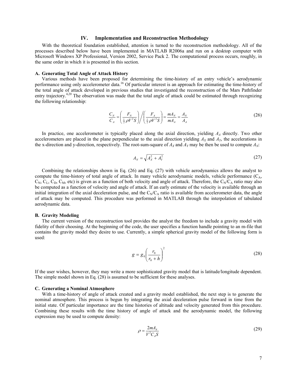# **IV. Implementation and Reconstruction Methodology**

With the theoretical foundation established, attention is turned to the reconstruction methodology. All of the processes described below have been implemented in MATLAB R2006a and run on a desktop computer with Microsoft Windows XP Professional, Version 2002, Service Pack 2. The computational process occurs, roughly, in the same order in which it is presented in this section.

#### **A. Generating Total Angle of Attack History**

Various methods have been proposed for determining the time-history of an entry vehicle's aerodynamic performance using only accelerometer data.<sup>16</sup> Of particular interest is an approach for estimating the time-history of the total angle of attack developed in previous studies that investigated the reconstruction of the Mars Pathfinder entry trajectory.<sup>4,20</sup> The observation was made that the total angle of attack could be estimated through recognizing the following relationship:

$$
\frac{C_N}{C_A} = \left(\frac{F_N}{\frac{1}{2}\rho V^2 S}\right) / \left(\frac{F_A}{\frac{1}{2}\rho V^2 S}\right) = \frac{m A_N}{m A_A} = \frac{A_N}{A_A}
$$
\n(26)

In practice, one accelerometer is typically placed along the axial direction, yielding  $A<sub>A</sub>$  directly. Two other accelerometers are placed in the plane perpendicular to the axial direction yielding  $A_X$  and  $A_Y$ , the accelerations in the x-direction and y-direction, respectively. The root-sum-square of  $A<sub>X</sub>$  and  $A<sub>Y</sub>$  may be then be used to compute  $A<sub>N</sub>$ .

$$
A_N = \sqrt{A_X^2 + A_Y^2} \tag{27}
$$

Combining the relationships shown in Eq. (26) and Eq. (27) with vehicle aerodynamics allows the analyst to compute the time-history of total angle of attack. In many vehicle aerodynamic models, vehicle performance  $(C_A,$  $C_N$ ,  $C_L$ ,  $C_D$ ,  $C_M$ , etc) is given as a function of both velocity and angle of attack. Therefore, the  $C_N/C_A$  ratio may also be computed as a function of velocity and angle of attack. If an early estimate of the velocity is available through an initial integration of the axial deceleration pulse, and the  $C_N/C_A$  ratio is available from accelerometer data, the angle of attack may be computed. This procedure was performed in MATLAB through the interpolation of tabulated aerodynamic data.

### **B. Gravity Modeling**

The current version of the reconstruction tool provides the analyst the freedom to include a gravity model with fidelity of their choosing. At the beginning of the code, the user specifies a function handle pointing to an m-file that contains the gravity model they desire to use. Currently, a simple spherical gravity model of the following form is used:

$$
g = g_0 \left(\frac{r_0}{r_0 + h}\right)^2 \tag{28}
$$

If the user wishes, however, they may write a more sophisticated gravity model that is latitude/longitude dependent. The simple model shown in Eq. (28) is assumed to be sufficient for these analyses.

# **C. Generating a Nominal Atmosphere**

With a time-history of angle of attack created and a gravity model established, the next step is to generate the nominal atmosphere. This process is begun by integrating the axial deceleration pulse forward in time from the initial state. Of particular importance are the time histories of altitude and velocity generated from this procedure. Combining these results with the time history of angle of attack and the aerodynamic model, the following expression may be used to compute density:

$$
\rho = \frac{2mA_A}{V^2 C_A S} \tag{29}
$$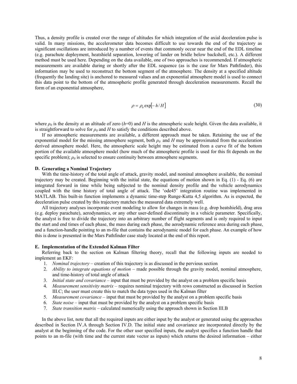Thus, a density profile is created over the range of altitudes for which integration of the axial deceleration pulse is valid. In many missions, the accelerometer data becomes difficult to use towards the end of the trajectory as significant oscillations are introduced by a number of events that commonly occur near the end of the EDL timeline (e.g. parachute deployment, heatshield separation, lowering of lander on bridle below backshell, etc.). A different method must be used here. Depending on the data available, one of two approaches is recommended. If atmospheric measurements are available during or shortly after the EDL sequence (as is the case for Mars Pathfinder), this information may be used to reconstruct the bottom segment of the atmosphere. The density at a specified altitude (frequently the landing site) is anchored to measured values and an exponential atmosphere model is used to connect this data point to the bottom of the atmospheric profile generated through deceleration measurements. Recall the form of an exponential atmosphere,

$$
\rho = \rho_0 \exp[-h/H] \tag{30}
$$

where  $\rho_0$  is the density at an altitude of zero (*h*=0) and *H* is the atmospheric scale height. Given the data available, it is straightforward to solve for  $\rho_0$  and *H* to satisfy the conditions described above.

 If no atmospheric measurements are available, a different approach must be taken. Retaining the use of the exponential model for the missing atmosphere segment, both  $\rho_0$  and *H* may be approximated from the acceleration derived atmosphere model. Here, the atmospheric scale height may be estimated from a curve fit of the bottom portion of the available atmosphere model (how much of the atmospheric profile is used for this fit depends on the specific problem);  $\rho_0$  is selected to ensure continuity between atmosphere segments.

#### **D. Generating a Nominal Trajectory**

With the time-history of the total angle of attack, gravity model, and nominal atmosphere available, the nominal trajectory may be created. Beginning with the initial state, the equations of motion shown in Eq. (1) - Eq. (6) are integrated forward in time while being subjected to the nominal density profile and the vehicle aerodynamics coupled with the time history of total angle of attack. The 'ode45' integration routine was implemented in MATLAB. This built-in function implements a dynamic time-step Runge-Kutta 4,5 algorithm. As is expected, the deceleration pulse created by this trajectory matches the measured data extremely well.

All trajectory analyses incorporate event modeling to allow for changes in mass (e.g. drop heatshield), drag area (e.g. deploy parachute), aerodynamics, or any other user-defined discontinuity in a vehicle parameter. Specifically, the analyst is free to divide the trajectory into an arbitrary number of flight segments and is only required to input the start and end times of each phase, the mass during each phase, the aerodynamic reference area during each phase, and a function-handle pointing to an m-file that contains the aerodynamic model for each phase. An example of how this is done is presented in the Mars Pathfinder case study located at the end of this report.

#### **E. Implementation of the Extended Kalman Filter**

Referring back to the section on Kalman filtering theory, recall that the following inputs are needed to implement an EKF:

- 1. *Nominal trajectory* creation of this trajectory is as discussed in the pervious section
- 2. *Ability to integrate equations of motion* made possible through the gravity model, nominal atmosphere, and time-history of total angle of attack
- 3. *Initial state and covariance*  input that must be provided by the analyst on a problem specific basis
- 4. *Measurement sensitivity matrix*  requires nominal trajectory with rows constructed as discussed in Section III.C; the user must create this to match the data types used in the Kalman filter
- 5. *Measurement covariance*  input that must be provided by the analyst on a problem specific basis
- 6. *State noise* input that must be provided by the analyst on a problem specific basis
- 7. *State transition matrix*  calculated numerically using the approach shown in Section III.B

In the above list, note that all the required inputs are either input by the analyst or generated using the approaches described in Section IV.A through Section IV.D. The initial state and covariance are incorporated directly by the analyst at the beginning of the code. For the other user specified inputs, the analyst specifies a function handle that points to an m-file (with time and the current state vector as inputs) which returns the desired information – either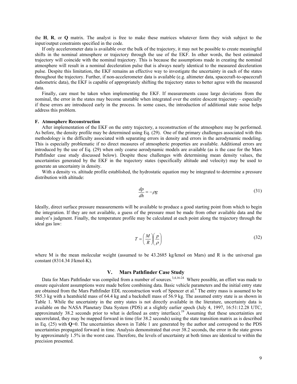the **H**, **R**, or **Q** matrix. The analyst is free to make these matrices whatever form they wish subject to the input/output constraints specified in the code.

If only accelerometer data is available over the bulk of the trajectory, it may not be possible to create meaningful shifts in the nominal atmosphere or trajectory through the use of the EKF. In other words, the best estimated trajectory will coincide with the nominal trajectory. This is because the assumptions made in creating the nominal atmosphere will result in a nominal deceleration pulse that is always nearly identical to the measured deceleration pulse. Despite this limitation, the EKF remains an effective way to investigate the uncertainty in each of the states throughout the trajectory. Further, if non-accelerometer data is available (e.g. altimeter data, spacecraft-to-spacecraft radiometric data), the EKF is capable of appropriately shifting the trajectory states to better agree with the measured data.

Finally, care must be taken when implementing the EKF. If measurements cause large deviations from the nominal, the error in the states may become unstable when integrated over the entire descent trajectory – especially if these errors are introduced early in the process. In some cases, the introduction of additional state noise helps address this problem.

# **F. Atmosphere Reconstruction**

After implementation of the EKF on the entry trajectory, a reconstruction of the atmosphere may be performed. As before, the density profile may be determined using Eq. (29). One of the primary challenges associated with this methodology is the difficulty associated with separating errors in density and errors in the aerodynamic modeling. This is especially problematic if no direct measures of atmospheric properties are available. Additional errors are introduced by the use of Eq. (29) when only coarse aerodynamic models are available (as is the case for the Mars Pathfinder case study discussed below). Despite these challenges with determining mean density values, the uncertainties generated by the EKF in the trajectory states (specifically altitude and velocity) may be used to generate an uncertainty in density.

With a density vs. altitude profile established, the hydrostatic equation may be integrated to determine a pressure distribution with altitude:

$$
\frac{dp}{dh} = -\rho g \tag{31}
$$

Ideally, direct surface pressure measurements will be available to produce a good starting point from which to begin the integration. If they are not available, a guess of the pressure must be made from other available data and the analyst's judgment. Finally, the temperature profile may be calculated at each point along the trajectory through the ideal gas law:

$$
T = \left(\frac{M}{R}\right)\left(\frac{p}{\rho}\right) \tag{32}
$$

where M is the mean molecular weight (assumed to be 43.2685 kg/kmol on Mars) and R is the universal gas constant (8314.34 J/kmol-K).

# **V. Mars Pathfinder Case Study**

Data for Mars Pathfinder was compiled from a number of sources.<sup>3,4,16-24</sup> Where possible, an effort was made to ensure equivalent assumptions were made before combining data. Basic vehicle parameters and the initial entry state are obtained from the Mars Pathfinder EDL reconstruction work of Spencer et al.<sup>4</sup> The entry mass is assumed to be 585.3 kg with a heatshield mass of 64.4 kg and a backshell mass of 56.9 kg. The assumed entry state is as shown in Table 1. While the uncertainty in the entry states is not directly available in the literature, uncertainty data is available on the NASA Planetary Data System (PDS) at a slightly earlier epoch (July 4, 1997, 16:51:12.28 UTC, approximately 38.2 seconds prior to what is defined as entry interface).<sup>19</sup> Assuming that these uncertainties are uncorrelated, they may be mapped forward in time (for 38.2 seconds) using the state transition matrix as is described in Eq. (25) with **Q**=0. The uncertainties shown in Table 1 are generated by the author and correspond to the PDS uncertainties propagated forward in time. Analysis demonstrated that over 38.2 seconds, the error in the state grows by approximately 1.5% in the worst case. Therefore, the levels of uncertainty at both times are identical to within the precision presented.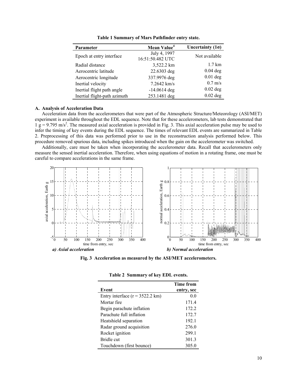| <b>Parameter</b>             | Mean Value <sup>4</sup>          | Uncertainty ( $1\sigma$ ) |
|------------------------------|----------------------------------|---------------------------|
| Epoch at entry interface     | July 4, 1997<br>16:51:50.482 UTC | Not available             |
| Radial distance              | 3,522.2 km                       | $1.7 \text{ km}$          |
| Aerocentric latitude         | 22.6303 deg                      | $0.04$ deg                |
| Aerocentric longitude        | 337.9976 deg                     | $0.01$ deg                |
| Inertial velocity            | 7.2642 km/s                      | $0.7$ m/s                 |
| Inertial flight path angle   | $-14.0614$ deg                   | $0.02$ deg                |
| Inertial flight-path azimuth | 253.1481 deg                     | $0.02$ deg                |

**Table 1 Summary of Mars Pathfinder entry state.** 

# **A. Analysis of Acceleration Data**

Acceleration data from the accelerometers that were part of the Atmospheric Structure/Meteorology (ASI/MET) experiment is available throughout the EDL sequence. Note that for these accelerometers, lab tests demonstrated that  $1 \text{ g} = 9.795 \text{ m/s}^2$ . The measured axial acceleration is provided in Fig. 3. This axial acceleration pulse may be used to infer the timing of key events during the EDL sequence. The times of relevant EDL events are summarized in Table 2. Preprocessing of this data was performed prior to use in the reconstruction analysis performed below. This procedure removed spurious data, including spikes introduced when the gain on the accelerometer was switched.

Additionally, care must be taken when incorporating the accelerometer data. Recall that accelerometers only measure the sensed inertial acceleration. Therefore, when using equations of motion in a rotating frame, one must be careful to compare accelerations in the same frame.



**Fig. 3 Acceleration as measured by the ASI/MET accelerometers.** 

|                                           | <b>Time from</b> |
|-------------------------------------------|------------------|
| Event                                     | entry, sec       |
| Entry interface $(r = 3522.2 \text{ km})$ | 0 <sub>0</sub>   |
| Mortar fire                               | 171.4            |
| Begin parachute inflation                 | 172.2            |
| Parachute full inflation                  | 172.7            |
| Heatshield separation                     | 192.1            |
| Radar ground acquisition                  | 276.0            |
| Rocket ignition                           | 299.1            |
| Bridle cut                                | 301.3            |
| Touchdown (first bounce)                  | 305.0            |

| Table 2 Summary of key EDL events. |  |  |
|------------------------------------|--|--|
|                                    |  |  |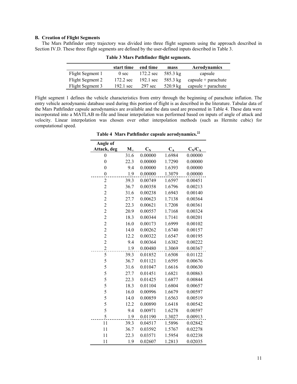# **B. Creation of Flight Segments**

The Mars Pathfinder entry trajectory was divided into three flight segments using the approach described in Section IV.D. These three flight segments are defined by the user-defined inputs described in Table 3.

|                  | start time          | end time  | mass               | Aerodynamics          |
|------------------|---------------------|-----------|--------------------|-----------------------|
| Flight Segment 1 | $0$ sec             | 172.2 sec | 585.3 kg           | capsule               |
| Flight Segment 2 | 172.2 sec           | 192.1 sec | 585.3 kg           | $capsule + parachute$ |
| Flight Segment 3 | $192.1 \text{ sec}$ | 297 sec   | $520.9 \text{ kg}$ | $capsule + parachute$ |

**Table 3 Mars Pathfinder flight segments.** 

Flight segment 1 defines the vehicle characteristics from entry through the beginning of parachute inflation. The entry vehicle aerodynamic database used during this portion of flight is as described in the literature. Tabular data of the Mars Pathfinder capsule aerodynamics are available and the data used are presented in Table 4. These data were incorporated into a MATLAB m-file and linear interpolation was performed based on inputs of angle of attack and velocity. Linear interpolation was chosen over other interpolation methods (such as Hermite cubic) for computational speed.

| Angle of         |              |         |                         |           |
|------------------|--------------|---------|-------------------------|-----------|
| Attack, deg      | $M_{\infty}$ | $C_N$   | $\mathbf{C}_\mathbf{A}$ | $C_N/C_A$ |
| $\boldsymbol{0}$ | 31.6         | 0.00000 | 1.6984                  | 0.00000   |
| $\overline{0}$   | 22.3         | 0.00000 | 1.7290                  | 0.00000   |
| $\boldsymbol{0}$ | 9.4          | 0.00000 | 1.6393                  | 0.00000   |
| $\boldsymbol{0}$ | 1.9          | 0.00000 | 1.3079                  | 0.00000   |
| $\overline{2}$   | 39.3         | 0.00749 | 1.6597                  | 0.00451   |
| $\overline{c}$   | 36.7         | 0.00358 | 1.6796                  | 0.00213   |
| $\overline{c}$   | 31.6         | 0.00238 | 1.6943                  | 0.00140   |
| $\overline{c}$   | 27.7         | 0.00623 | 1.7138                  | 0.00364   |
| $\overline{c}$   | 22.3         | 0.00621 | 1.7208                  | 0.00361   |
| $\overline{c}$   | 20.9         | 0.00557 | 1.7168                  | 0.00324   |
| $\overline{c}$   | 18.3         | 0.00344 | 1.7141                  | 0.00201   |
| $\overline{c}$   | 16.0         | 0.00173 | 1.6999                  | 0.00102   |
| $\overline{c}$   | 14.0         | 0.00262 | 1.6740                  | 0.00157   |
| $\overline{c}$   | 12.2         | 0.00322 | 1.6547                  | 0.00195   |
| $\overline{c}$   | 9.4          | 0.00364 | 1.6382                  | 0.00222   |
| $rac{2}{5}$      | 1.9          | 0.00480 | 1.3069                  | 0.00367   |
|                  | 39.3         | 0.01852 | 1.6508                  | 0.01122   |
| 5                | 36.7         | 0.01121 | 1.6595                  | 0.00676   |
| 5                | 31.6         | 0.01047 | 1.6616                  | 0.00630   |
| 5                | 27.7         | 0.01451 | 1.6821                  | 0.00863   |
| 5                | 22.3         | 0.01425 | 1.6877                  | 0.00844   |
| 5                | 18.3         | 0.01104 | 1.6804                  | 0.00657   |
| 5                | 16.0         | 0.00996 | 1.6679                  | 0.00597   |
| 5                | 14.0         | 0.00859 | 1.6563                  | 0.00519   |
| 5                | 12.2         | 0.00890 | 1.6418                  | 0.00542   |
| 5                | 9.4          | 0.00971 | 1.6278                  | 0.00597   |
| 5                | 1.9          | 0.01190 | 1.3027                  | 0.00913   |
| 11               | 39.3         | 0.04517 | 1.5896                  | 0.02842   |
| 11               | 36.7         | 0.03592 | 1.5767                  | 0.02278   |
| 11               | 22.3         | 0.03571 | 1.5954                  | 0.02238   |
| 11               | 1.9          | 0.02607 | 1.2813                  | 0.02035   |

**Table 4 Mars Pathfinder capsule aerodynamics.<sup>22</sup>**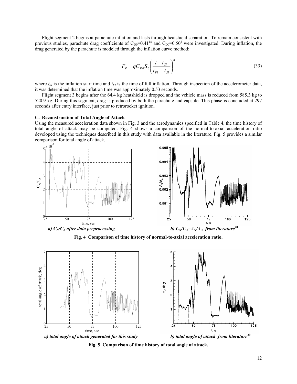Flight segment 2 begins at parachute inflation and lasts through heatshield separation. To remain consistent with previous studies, parachute drag coefficients of  $C_{D0}$ =0.41<sup>18</sup> and  $C_{D0}$ =0.50<sup>4</sup> were investigated. During inflation, the drag generated by the parachute is modeled through the inflation curve method:

$$
F_P = qC_{D0}S_0 \left(\frac{t - t_{SI}}{t_{FI} - t_{SI}}\right)^n
$$
\n(33)

where  $t_{SI}$  is the inflation start time and  $t_{FI}$  is the time of full inflation. Through inspection of the accelerometer data, it was determined that the inflation time was approximately 0.53 seconds.

Flight segment 3 begins after the 64.4 kg heatshield is dropped and the vehicle mass is reduced from 585.3 kg to 520.9 kg. During this segment, drag is produced by both the parachute and capsule. This phase is concluded at 297 seconds after entry interface, just prior to retrorocket ignition.

# **C. Reconstruction of Total Angle of Attack**

Using the measured acceleration data shown in Fig. 3 and the aerodynamics specified in Table 4, the time history of total angle of attack may be computed. Fig. 4 shows a comparison of the normal-to-axial acceleration ratio developed using the techniques described in this study with data available in the literature. Fig. 5 provides a similar comparison for total angle of attack.



**Fig. 4 Comparison of time history of normal-to-axial acceleration ratio.** 



**Fig. 5 Comparison of time history of total angle of attack.**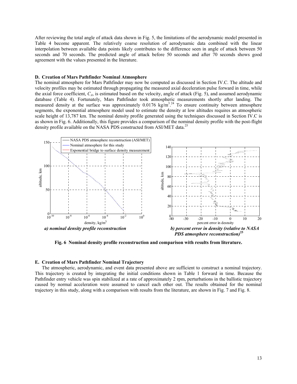After reviewing the total angle of attack data shown in Fig. 5, the limitations of the aerodynamic model presented in Table 4 become apparent. The relatively coarse resolution of aerodynamic data combined with the linear interpolation between available data points likely contributes to the difference seen in angle of attack between 50 seconds and 70 seconds. The predicted angle of attack before 50 seconds and after 70 seconds shows good agreement with the values presented in the literature.

# **D. Creation of Mars Pathfinder Nominal Atmosphere**

The nominal atmosphere for Mars Pathfinder may now be computed as discussed in Section IV.C. The altitude and velocity profiles may be estimated through propagating the measured axial deceleration pulse forward in time, while the axial force coefficient, *CA*, is estimated based on the velocity, angle of attack (Fig. 5), and assumed aerodynamic database (Table 4). Fortunately, Mars Pathfinder took atmospheric measurements shortly after landing. The measured density at the surface was approximately  $0.0176 \text{ kg/m}^3$ .<sup>24</sup> To ensure continuity between atmosphere segments, the exponential atmosphere model used to estimate the density at low altitudes requires an atmospheric scale height of 13,787 km. The nominal density profile generated using the techniques discussed in Section IV.C is as shown in Fig. 6. Additionally, this figure provides a comparison of the nominal density profile with the post-flight density profile available on the NASA PDS constructed from ASI/MET data.<sup>25</sup>



**Fig. 6 Nominal density profile reconstruction and comparison with results from literature.** 

#### **E. Creation of Mars Pathfinder Nominal Trajectory**

The atmospheric, aerodynamic, and event data presented above are sufficient to construct a nominal trajectory. This trajectory is created by integrating the initial conditions shown in Table 1 forward in time. Because the Pathfinder entry vehicle was spin stabilized at a rate of approximately 2 rpm, perturbations in the ballistic trajectory caused by normal acceleration were assumed to cancel each other out. The results obtained for the nominal trajectory in this study, along with a comparison with results from the literature, are shown in Fig. 7 and Fig. 8.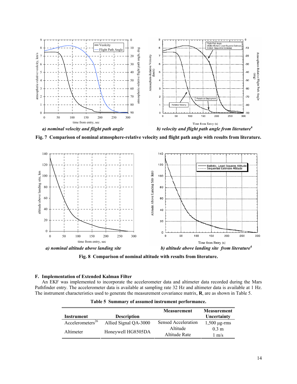

**Fig. 7 Comparison of nominal atmosphere-relative velocity and flight path angle with results from literature.** 



**Fig. 8 Comparison of nominal altitude with results from literature.** 

#### **F. Implementation of Extended Kalman Filter**

An EKF was implemented to incorporate the accelerometer data and altimeter data recorded during the Mars Pathfinder entry. The accelerometer data is available at sampling rate 32 Hz and altimeter data is available at 1 Hz. The instrument characteristics used to generate the measurement covariance matrix, **R**, are as shown in Table 5.

|                              |                       | <b>Measurement</b>         | <b>Measurement</b> |
|------------------------------|-----------------------|----------------------------|--------------------|
| Instrument                   | <b>Description</b>    |                            | Uncertainty        |
| Accelerometers <sup>26</sup> | Allied Signal QA-3000 | <b>Sensed Acceleration</b> | $1,500 \mu$ g-rms  |
| Altimeter                    | Honeywell HG8505DA    | Altitude                   | $0.3 \text{ m}$    |
|                              |                       | Altitude Rate              | $1 \text{ m/s}$    |

**Table 5 Summary of assumed instrument performance.**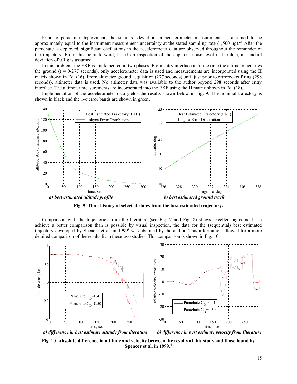Prior to parachute deployment, the standard deviation in accelerometer measurements is assumed to be approximately equal to the instrument measurement uncertainty at the stated sampling rate (1,500 µg).<sup>26</sup> After the parachute is deployed, significant oscillations in the accelerometer data are observed throughout the remainder of the trajectory. From this point forward, based on inspection of the apparent noise level in the data, a standard deviation of 0.1 g is assumed.

In this problem, the EKF is implemented in two phases. From entry interface until the time the altimeter acquires the ground  $(t = 0-277$  seconds), only accelerometer data is used and measurements are incorporated using the **H** matrix shown in Eq. (16). From altimeter ground acquisition (277 seconds) until just prior to retrorocket firing (298 seconds), altimeter data is used. No altimeter data was available to the author beyond 298 seconds after entry interface. The altimeter measurements are incorporated into the EKF using the **H** matrix shown in Eq. (18).

Implementation of the accelerometer data yields the results shown below in Fig. 9. The nominal trajectory is shown in black and the 1-σ error bands are shown in green.



**Fig. 9 Time-history of selected states from the best estimated trajectory.** 

Comparison with the trajectories from the literature (see Fig. 7 and Fig. 8) shows excellent agreement. To achieve a better comparison than is possible by visual inspection, the data for the (sequential) best estimated trajectory developed by Spencer et al. in 1999<sup>4</sup> was obtained by the author. This information allowed for a more detailed comparison of the results from these two studies. This comparison is shown in Fig. 10.



 *a) difference in best estimate altitude from literature b) difference in best estimate velocity from literature* 

**Fig. 10 Absolute difference in altitude and velocity between the results of this study and those found by Spencer et al. in 1999.<sup>4</sup>**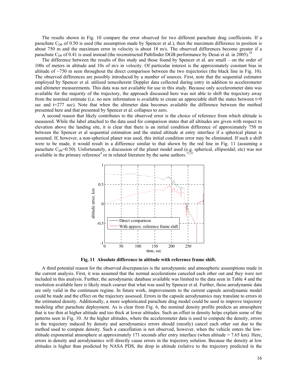The results shown in Fig. 10 compare the error observed for two different parachute drag coefficients. If a parachute  $C_{D0}$  of 0.50 is used (the assumption made by Spencer et al.), then the maximum difference in position is about 750 m and the maximum error in velocity is about 18 m/s. The observed differences become greater if a parachute  $C_{D0}$  of 0.41 is used instead (the reconstructed Pathfinder DGB performance by Desai et al. in 2005).<sup>18</sup>

The difference between the results of this study and those found by Spencer et al. are small – on the order of 100s of meters in altitude and 10s of m/s in velocity. Of particular interest is the approximately constant bias in altitude of  $\sim$ 750 m seen throughout the direct comparison between the two trajectories (the black line in Fig. 10). The observed differences are possibly introduced by a number of sources. First, note that the sequential estimator employed by Spencer et al. utilized noncoherent Doppler data collected during entry in addition to accelerometer and altimeter measurements. This data was not available for use in this study. Because only accelerometer data was available for the majority of the trajectory, the approach discussed here was not able to shift the trajectory away from the nominal estimate (i.e. no new information is available to create an appreciable shift the states between  $t=0$ sec and t=277 sec). Note that when the altimeter data becomes available the difference between the method presented here and that presented by Spencer et al. collapses to zero.

A second reason that likely contributes to the observed error is the choice of reference from which altitude is measured. While the label attached to the data used for comparison states that all altitudes are given with respect to elevation above the landing site, it is clear that there is an initial condition difference of approximately 750 m between the Spencer et al sequential estimation and the stated altitude at entry interface if a spherical planet is assumed. If, however, a non-spherical planet was used, this initial condition error may be eliminated. If such a shift were to be made, it would result in a difference similar to that shown by the red line in Fig. 11 (assuming a parachute  $C_{D0}$ =0.50). Unfortunately, a discussion of the planet model used (e.g. spherical, ellipsoidal, etc) was not available in the primary reference<sup>4</sup> or in related literature by the same authors.<sup>17,21</sup>



**Fig. 11 Absolute difference in altitude with reference frame shift.** 

A third potential reason for the observed discrepancies is the aerodynamic and atmospheric assumptions made in the current analysis. First, it was assumed that the normal accelerations canceled each other out and they were not included in this analysis. Further, the aerodynamic database available was limited to the data seen in Table 4 and the resolution available here is likely much coarser that what was used by Spencer et al. Further, these aerodynamic data are only valid in the continuum regime. In future work, improvements to the current capsule aerodynamic model could be made and the effect on the trajectory assessed. Errors in the capsule aerodynamics may translate to errors in the estimated density. Additionally, a more sophisticated parachute drag model could be used to improve trajectory modeling after parachute deployment. As is clear from Fig. 6, the nominal density profile predicts an atmosphere that is too thin at higher altitude and too thick at lower altitudes. Such an offset in density helps explain some of the patterns seen in Fig. 10. At the higher altitudes, where the accelerometer data is used to compute the density, errors in the trajectory induced by density and aerodynamics errors should (mostly) cancel each other out due to the method used to compute density. Such a cancellation is not observed, however, when the vehicle enters the lowaltitude exponential atmosphere at approximately 171 seconds after entry interface (when altitude  $= 7.65$  km). Here, errors in density and aerodynamics will directly cause errors in the trajectory solution. Because the density at low altitudes is higher than predicted by NASA PDS, the drop in altitude (relative to the trajectory predicted in the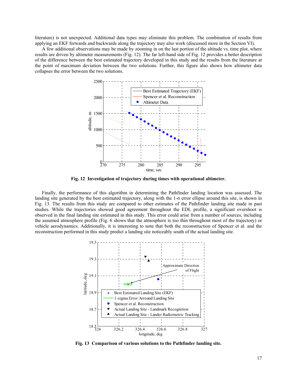literature) is not unexpected. Additional data types may eliminate this problem. The combination of results from applying an EKF forwards and backwards along the trajectory may also work (discussed more in the Section VI).

A few additional observations may be made by zooming in on the last portion of the altitude vs. time plot, where results are driven by altimeter measurements (Fig. 12). The far left-hand side of Fig. 12 provides a better description of the difference between the best estimated trajectory developed in this study and the results from the literature at the point of maximum deviation between the two solutions. Further, this figure also shows how altimeter data collapses the error between the two solutions.



**Fig. 12 Investigation of trajectory during times with operational altimeter.** 

Finally, the performance of this algorithm in determining the Pathfinder landing location was assessed. The landing site generated by the best estimated trajectory, along with the 1-σ error ellipse around this site, is shown in Fig. 13. The results from this study are compared to other estimates of the Pathfinder landing site made in past studies. While the trajectories showed good agreement throughout the EDL profile, a significant overshoot is observed in the final landing site estimated in this study. This error could arise from a number of sources, including the assumed atmosphere profile (Fig. 6 shows that the atmosphere is too thin throughout most of the trajectory) or vehicle aerodynamics. Additionally, it is interesting to note that both the reconstruction of Spencer et al. and the reconstruction performed in this study predict a landing site noticeably south of the actual landing site.



**Fig. 13 Comparison of various solutions to the Pathfinder landing site.**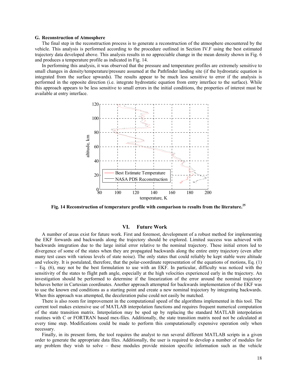#### **G. Reconstruction of Atmosphere**

The final step in the reconstruction process is to generate a reconstruction of the atmosphere encountered by the vehicle. This analysis is performed according to the procedure outlined in Section IV.F using the best estimated trajectory data developed above. This analysis results in no appreciable change in the mean density shown in Fig. 6 and produces a temperature profile as indicated in Fig. 14.

In performing this analysis, it was observed that the pressure and temperature profiles are extremely sensitive to small changes in density/temperature/pressure assumed at the Pathfinder landing site (if the hydrostatic equation is integrated from the surface upwards). The results appear to be much less sensitive to error if the analysis is performed in the opposite direction (i.e. integrate hydrostatic equation from entry interface to the surface). While this approach appears to be less sensitive to small errors in the initial conditions, the properties of interest must be available at entry interface.



**Fig. 14 Reconstruction of temperature profile with comparison to results from the literature.<sup>25</sup>**

# **VI. Future Work**

A number of areas exist for future work. First and foremost, development of a robust method for implementing the EKF forwards and backwards along the trajectory should be explored. Limited success was achieved with backwards integration due to the large initial error relative to the nominal trajectory. These initial errors led to divergence of some of the states when they are propagated backwards along the entire entry trajectory (even after many test cases with various levels of state noise). The only states that could reliably be kept stable were altitude and velocity. It is postulated, therefore, that the polar-coordinate representation of the equations of motions, Eq. (1) – Eq. (6), may not be the best formulation to use with an EKF. In particular, difficulty was noticed with the sensitivity of the states to flight path angle, especially at the high velocities experienced early in the trajectory. An investigation should be performed to determine if the linearization of the error around the nominal trajectory behaves better in Cartesian coordinates. Another approach attempted for backwards implementation of the EKF was to use the known end conditions as a starting point and create a new nominal trajectory by integrating backwards. When this approach was attempted, the deceleration pulse could not easily be matched.

There is also room for improvement in the computational speed of the algorithms implemented in this tool. The current tool makes extensive use of MATLAB interpolation functions and requires frequent numerical computation of the state transition matrix. Interpolation may be sped up by replacing the standard MATLAB interpolation routines with C or FORTRAN based mex-files. Additionally, the state transition matrix need not be calculated at every time step. Modifications could be made to perform this computationally expensive operation only when necessary.

Finally, in its present form, the tool requires the analyst to run several different MATLAB scripts in a given order to generate the appropriate data files. Additionally, the user is required to develop a number of modules for any problem they wish to solve – these modules provide mission specific information such as the vehicle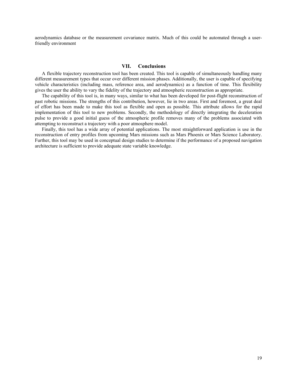aerodynamics database or the measurement covariance matrix. Much of this could be automated through a userfriendly environment

# **VII. Conclusions**

A flexible trajectory reconstruction tool has been created. This tool is capable of simultaneously handling many different measurement types that occur over different mission phases. Additionally, the user is capable of specifying vehicle characteristics (including mass, reference area, and aerodynamics) as a function of time. This flexibility gives the user the ability to vary the fidelity of the trajectory and atmospheric reconstruction as appropriate.

The capability of this tool is, in many ways, similar to what has been developed for post-flight reconstruction of past robotic missions. The strengths of this contribution, however, lie in two areas. First and foremost, a great deal of effort has been made to make this tool as flexible and open as possible. This attribute allows for the rapid implementation of this tool to new problems. Secondly, the methodology of directly integrating the deceleration pulse to provide a good initial guess of the atmospheric profile removes many of the problems associated with attempting to reconstruct a trajectory with a poor atmosphere model.

Finally, this tool has a wide array of potential applications. The most straightforward application is use in the reconstruction of entry profiles from upcoming Mars missions such as Mars Phoenix or Mars Science Laboratory. Further, this tool may be used in conceptual design studies to determine if the performance of a proposed navigation architecture is sufficient to provide adequate state variable knowledge.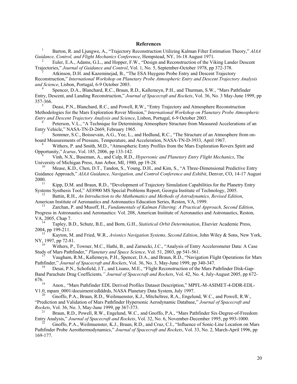#### **References**

<sup>1</sup> Barton, R. and Ljungwe, A., "Trajectory Reconstruction Utilizing Kalman Filter Estimation Theory," AIAA *Guidance, Control, and Flight Mechanics Conference*, Hempstead, NY, 16-18 August 1971.<br><sup>2</sup> Euler, E.A., Adams, G.L., and Hopper, F.W., "Design and Reconstruction of the Viking Lander Descent

Trajectories," *Journal of Guidance and Control*, Vol. 1, No. 5, September-October 1978, pp 372-378. 3 Atkinson, D.H. and Kazeminejad, B., "The ESA Huygens Probe Entry and Descent Trajectory

Reconstruction," *International Workshop on Planetary Probe Atmospheric Entry and Descent Trajectory Analysis and Science*, Lisbon, Portugal, 6-9 October 2003.<br><sup>4</sup> Spencer, D.A., Blanchard, R.C., Braun, R.D., Kallemeyn, P.H., and Thurman, S.W., "Mars Pathfinder

Entry, Descent, and Landing Reconstruction," *Journal of Spacecraft and Rockets*, Vol. 36, No. 3 May-June 1999, pp 357-366.<br><sup>5</sup> Deasi, P.N., Blanchard, R.C., and Powell, R.W., "Entry Trajectory and Atmosphere Reconstruction

Methodologies for the Mars Exploration Rover Mission," *International Workshop on Planetary Probe Atmospheric Entry and Descent Trajectory Analysis and Science*, Lisbon, Portugal, 6-9 October 2003.<br><sup>6</sup> Peterson, V.L., "A Technique for Determining Atmosphere Structure from Measured Accelerations of an

Entry Vehicle," NASA-TN-D-2669, February 1965.<br>
Sommer, S.C., Boissevain, A.G., Yee, L., and Hedlund, R.C., "The Structure of an Atmosphere from on-

board Measurements of Pressure, Temperature, and Acceleration, NASA-TN-D-3933, April 1967.<br><sup>8</sup> Withers, P. and Smith, M.D., "Atmospheric Entry Profiles from the Mars Exploration Rovers Spirit and

Opportunity," *Icarus*, Vol. 185, 2006, pp 133-142.

<sup>9</sup> Vinh, N.X., Buseman, A., and Culp, R.D., *Hypersonic and Planetary Entry Flight Mechanics*, The University of Michigan Press, Ann Arbor, MI, 1980, pp 19-28.

Mease, K.D., Chen, D.T., Tandon, S., Young, D.H., and Kim, S., "A Three-Dimensional Predictive Entry Guidance Approach," *AIAA Guidance, Navigation, and Control Conference and Exhibit*, Denver, CO, 14-17 August 2000.<br><sup>11</sup> Kipp, D.M. and Braun, R.D., "Development of Trajectory Simulation Capabilities for the Planetry Entry

Systems Synthesis Tool," AE8900 MS Special Problems Report, Georgia Institute of Technology, 2005. 12 Battin, R.H., *An Introduction to the Mathematics and Methods of Astrodynamics, Revised Edition*,

American Institute of Aeronautics and Astronautics Education Series, Reston, VA, 1999.<br><sup>13</sup> Zarchan, P. and Musoff, H., *Fundamentals of Kalman Filtering: A Practical Approach, Second Edition*,

Progress in Astronautics and Aeronautics: Vol. 208, American Institute of Aeronautics and Astronautics, Reston, VA, 2005, Chap 7. 14 Tapley, B.D., Schutz, B.E., and Born, G.H., *Statistical Orbit Determination*, Elsevier Academic Press,

2004, pp 199-211. 15 Kayton, M. and Fried, W.R., *Avionics Navigation Systems, Second Edition*, John Wiley & Sons, New York,

NY, 1997, pp 72-81.<br><sup>16</sup> Withers, P., Towner, M.C., Hathi, B., and Zarnecki, J.C., "Analysis of Entry Accelerometer Data: A Case

Study of Mars Pathfinder," *Planetary and Space Science*, Vol. 51, 2003, pp 541-561.

<sup>17</sup> Vaugham, R.M., Kallemeyn, P.H., Spencer, D.A., and Braun, R.D., "Navigation Flight Operations for Mars Pathfinder," *Journal of Spacecraft and Rockets*, Vol. 36, No. 3, May-June 1999, pp 340-347.<br><sup>18</sup> Desai, P.N., Schofield, J.T., and Lisano, M.E., "Flight Reconstruction of the Mars Pathfinder Disk-Gap-

Band Parachute Drag Coefficients*," Journal of Spacecraft and Rockets*, Vol. 42, No. 4, July-August 2005, pp 672-  $676.$ 

<sup>19</sup> Anon., "Mars Pathfinder EDL Derived Profiles Dataset Description," MPFL-M-ASIMET-4-DDR-EDL-V1.0, mpam\_0001/docuiment/edlddrds, NASA Planetary Data System, July 1997.<br><sup>20</sup> Gnoffo, P.A., Braun, R.D., Weilmuenster, K.J., Mitcheltree, R.A., Engelund, W.C., and Powell, R.W.,

"Prediction and Validation of Mars Pathfinder Hypersonic Aerodynamic Database," *Journal of Spacecraft and* 

*Rockets*, Vol. 36, No. 3, May-June 1999, pp 367-373.<br><sup>21</sup> Braun, R.D., Powell, R.W., Engelund, W.C., and Gnoffo, P.A., "Mars Pathfinder Six-Degree-of-Freedom Entry Analysis," *Journal of Spacecraft and Rockets*, Vol. 32, No. 6, November-December 1995, pp 993-1000. 22 Gnoffo, P.A., Weilmuenster, K.J., Braun, R.D., and Cruz, C.I., "Influence of Sonic-Line Location on Mars

Pathfinder Probe Aerothermodynamics," *Journal of Spacecraft and Rockets*, Vol. 33, No. 2, March-April 1996, pp 169-177.